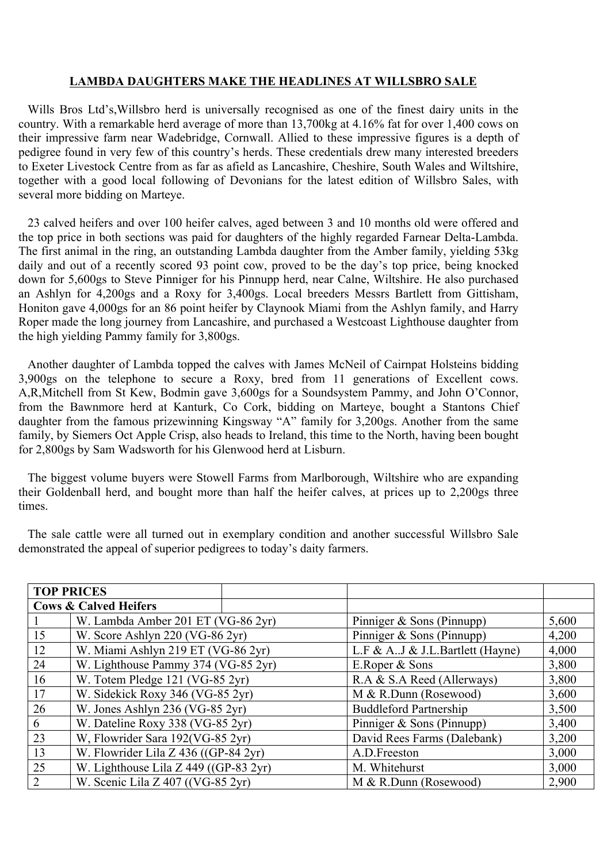## **LAMBDA DAUGHTERS MAKE THE HEADLINES AT WILLSBRO SALE**

Wills Bros Ltd's,Willsbro herd is universally recognised as one of the finest dairy units in the country. With a remarkable herd average of more than 13,700kg at 4.16% fat for over 1,400 cows on their impressive farm near Wadebridge, Cornwall. Allied to these impressive figures is a depth of pedigree found in very few of this country's herds. These credentials drew many interested breeders to Exeter Livestock Centre from as far as afield as Lancashire, Cheshire, South Wales and Wiltshire, together with a good local following of Devonians for the latest edition of Willsbro Sales, with several more bidding on Marteye.

23 calved heifers and over 100 heifer calves, aged between 3 and 10 months old were offered and the top price in both sections was paid for daughters of the highly regarded Farnear Delta-Lambda. The first animal in the ring, an outstanding Lambda daughter from the Amber family, yielding 53kg daily and out of a recently scored 93 point cow, proved to be the day's top price, being knocked down for 5,600gs to Steve Pinniger for his Pinnupp herd, near Calne, Wiltshire. He also purchased an Ashlyn for 4,200gs and a Roxy for 3,400gs. Local breeders Messrs Bartlett from Gittisham, Honiton gave 4,000gs for an 86 point heifer by Claynook Miami from the Ashlyn family, and Harry Roper made the long journey from Lancashire, and purchased a Westcoast Lighthouse daughter from the high yielding Pammy family for 3,800gs.

Another daughter of Lambda topped the calves with James McNeil of Cairnpat Holsteins bidding 3,900gs on the telephone to secure a Roxy, bred from 11 generations of Excellent cows. A,R,Mitchell from St Kew, Bodmin gave 3,600gs for a Soundsystem Pammy, and John O'Connor, from the Bawnmore herd at Kanturk, Co Cork, bidding on Marteye, bought a Stantons Chief daughter from the famous prizewinning Kingsway "A" family for 3,200gs. Another from the same family, by Siemers Oct Apple Crisp, also heads to Ireland, this time to the North, having been bought for 2,800gs by Sam Wadsworth for his Glenwood herd at Lisburn.

The biggest volume buyers were Stowell Farms from Marlborough, Wiltshire who are expanding their Goldenball herd, and bought more than half the heifer calves, at prices up to 2,200gs three times.

The sale cattle were all turned out in exemplary condition and another successful Willsbro Sale demonstrated the appeal of superior pedigrees to today's daity farmers.

|    | <b>TOP PRICES</b>                          |  |                                  |       |
|----|--------------------------------------------|--|----------------------------------|-------|
|    | <b>Cows &amp; Calved Heifers</b>           |  |                                  |       |
|    | W. Lambda Amber 201 ET (VG-86 2yr)         |  | Pinniger & Sons (Pinnupp)        | 5,600 |
| 15 | W. Score Ashlyn 220 (VG-86 2yr)            |  | Pinniger $&$ Sons (Pinnupp)      | 4,200 |
| 12 | W. Miami Ashlyn 219 ET (VG-86 2yr)         |  | L.F & A.J & J.L.Bartlett (Hayne) | 4,000 |
| 24 | W. Lighthouse Pammy 374 (VG-85 2yr)        |  | E.Roper & Sons                   | 3,800 |
| 16 | W. Totem Pledge 121 (VG-85 2yr)            |  | R.A & S.A Reed (Allerways)       | 3,800 |
| 17 | W. Sidekick Roxy 346 (VG-85 2yr)           |  | M & R.Dunn (Rosewood)            | 3,600 |
| 26 | W. Jones Ashlyn 236 (VG-85 2yr)            |  | <b>Buddleford Partnership</b>    | 3,500 |
| 6  | W. Dateline Roxy 338 (VG-85 2yr)           |  | Pinniger $&$ Sons (Pinnupp)      | 3,400 |
| 23 | W, Flowrider Sara 192(VG-85 2yr)           |  | David Rees Farms (Dalebank)      | 3,200 |
| 13 | W. Flowrider Lila Z $436$ ((GP-84 2yr)     |  | A.D.Freeston                     | 3,000 |
| 25 | W. Lighthouse Lila Z $449$ ((GP-83 $2yr$ ) |  | M. Whitehurst                    | 3,000 |
| 2  | W. Scenic Lila Z 407 ((VG-85 2yr)          |  | $M & R.D$ unn (Rosewood)         | 2,900 |